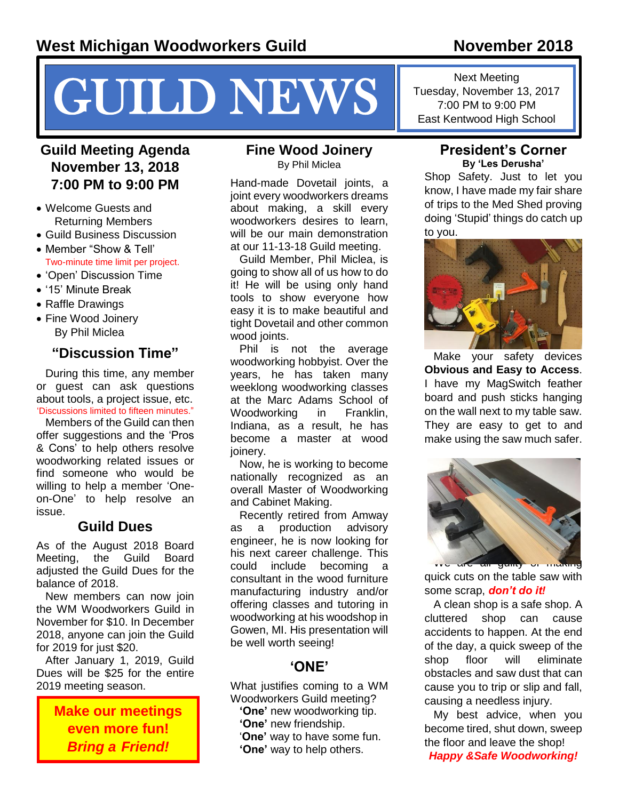# NEWS Fuesday, November 13, 2017<br>
T.00 PM to 9:00 PM<br>
East Kentwood High School

# **Guild Meeting Agenda November 13, 2018 7:00 PM to 9:00 PM**

- Welcome Guests and Returning Members
- Guild Business Discussion
- Member "Show & Tell' Two-minute time limit per project.
- 'Open' Discussion Time
- '15' Minute Break
- Raffle Drawings
- Fine Wood Joinery By Phil Miclea

## **"Discussion Time"**

During this time, any member or guest can ask questions about tools, a project issue, etc. 'Discussions limited to fifteen minutes."

Members of the Guild can then offer suggestions and the 'Pros & Cons' to help others resolve woodworking related issues or find someone who would be willing to help a member 'Oneon-One' to help resolve an issue.

# **Guild Dues**

As of the August 2018 Board Meeting, the Guild Board adiusted the Guild Dues for the balance of 2018.

New members can now join the WM Woodworkers Guild in November for \$10. In December 2018, anyone can join the Guild for 2019 for just \$20.

After January 1, 2019, Guild Dues will be \$25 for the entire 2019 meeting season.

> **Make our meetings even more fun!**  *Bring a Friend!*

#### **Fine Wood Joinery** By Phil Miclea

Hand-made Dovetail joints, a joint every woodworkers dreams about making, a skill every woodworkers desires to learn, will be our main demonstration at our 11-13-18 Guild meeting.

Guild Member, Phil Miclea, is going to show all of us how to do it! He will be using only hand tools to show everyone how easy it is to make beautiful and tight Dovetail and other common wood joints.

Phil is not the average woodworking hobbyist. Over the years, he has taken many weeklong woodworking classes at the Marc Adams School of Woodworking in Franklin, Indiana, as a result, he has become a master at wood joinery.

Now, he is working to become nationally recognized as an overall Master of Woodworking and Cabinet Making.

Recently retired from Amway as a production advisory engineer, he is now looking for his next career challenge. This could include becoming a consultant in the wood furniture manufacturing industry and/or offering classes and tutoring in woodworking at his woodshop in Gowen, MI. His presentation will be well worth seeing!

#### **'ONE'**

What justifies coming to a WM Woodworkers Guild meeting?

**'One'** new woodworking tip. **'One'** new friendship. '**One'** way to have some fun. **'One'** way to help others.

#### **President's Corner By 'Les Derusha'**

Shop Safety. Just to let you know, I have made my fair share of trips to the Med Shed proving doing 'Stupid' things do catch up to you.



Make your safety devices **Obvious and Easy to Access**. I have my MagSwitch feather board and push sticks hanging on the wall next to my table saw. They are easy to get to and make using the saw much safer.



quick cuts on the table saw with some scrap, *don't do it!*

A clean shop is a safe shop. A cluttered shop can cause accidents to happen. At the end of the day, a quick sweep of the shop floor will eliminate obstacles and saw dust that can cause you to trip or slip and fall, causing a needless injury.

My best advice, when you become tired, shut down, sweep the floor and leave the shop! *Happy &Safe Woodworking!*

Next Meeting Tuesday, November 13, 2017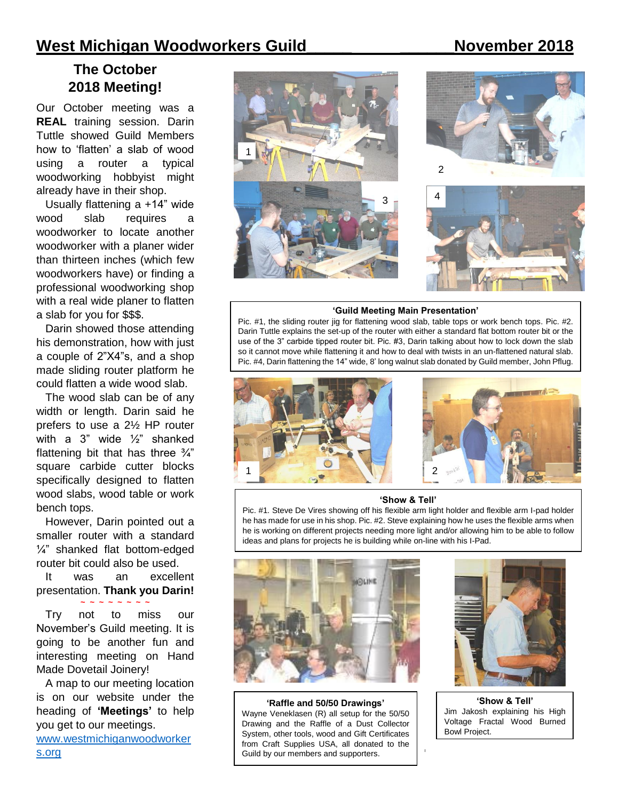# **West Michigan Woodworkers Guild\_\_\_\_\_ \_\_\_\_\_\_November 2018**

# **The October 2018 Meeting!**

Our October meeting was a **REAL** training session. Darin Tuttle showed Guild Members how to 'flatten' a slab of wood using a router a typical woodworking hobbyist might already have in their shop.

Usually flattening a +14" wide wood slab requires a woodworker to locate another woodworker with a planer wider than thirteen inches (which few woodworkers have) or finding a professional woodworking shop with a real wide planer to flatten a slab for you for \$\$\$.

Darin showed those attending his demonstration, how with just a couple of 2"X4"s, and a shop made sliding router platform he could flatten a wide wood slab.

The wood slab can be of any width or length. Darin said he prefers to use a 2½ HP router with a 3" wide ½" shanked flattening bit that has three  $\frac{3}{4}$ " square carbide cutter blocks specifically designed to flatten wood slabs, wood table or work bench tops.

However, Darin pointed out a smaller router with a standard ¼" shanked flat bottom-edged router bit could also be used.

It was an excellent presentation. **Thank you Darin! ~ ~ ~ ~ ~ ~ ~ ~**

Try not to miss our November's Guild meeting. It is going to be another fun and interesting meeting on Hand Made Dovetail Joinery!

A map to our meeting location is on our website under the heading of **'Meetings'** to help you get to our meetings.

www.westmichiganwoodworker



#### **'Guild Meeting Main Presentation'**

Pic. #1, the sliding router jig for flattening wood slab, table tops or work bench tops. Pic. #2. Darin Tuttle explains the set-up of the router with either a standard flat bottom router bit or the use of the 3" carbide tipped router bit. Pic. #3, Darin talking about how to lock down the slab so it cannot move while flattening it and how to deal with twists in an un-flattened natural slab. Pic. #4, Darin flattening the 14" wide, 8' long walnut slab donated by Guild member, John Pflug.



#### **'Show & Tell'**

Pic. #1. Steve De Vires showing off his flexible arm light holder and flexible arm I-pad holder he has made for use in his shop. Pic. #2. Steve explaining how he uses the flexible arms when he is working on different projects needing more light and/or allowing him to be able to follow ideas and plans for projects he is building while on-line with his I-Pad.



s.org **I** Guild by our members and supporters. **'Raffle and 50/50 Drawings'** Wayne Veneklasen (R) all setup for the 50/50 Drawing and the Raffle of a Dust Collector System, other tools, wood and Gift Certificates from Craft Supplies USA, all donated to the



**'Show & Tell'** Jim Jakosh explaining his High Voltage Fractal Wood Burned Bowl Project.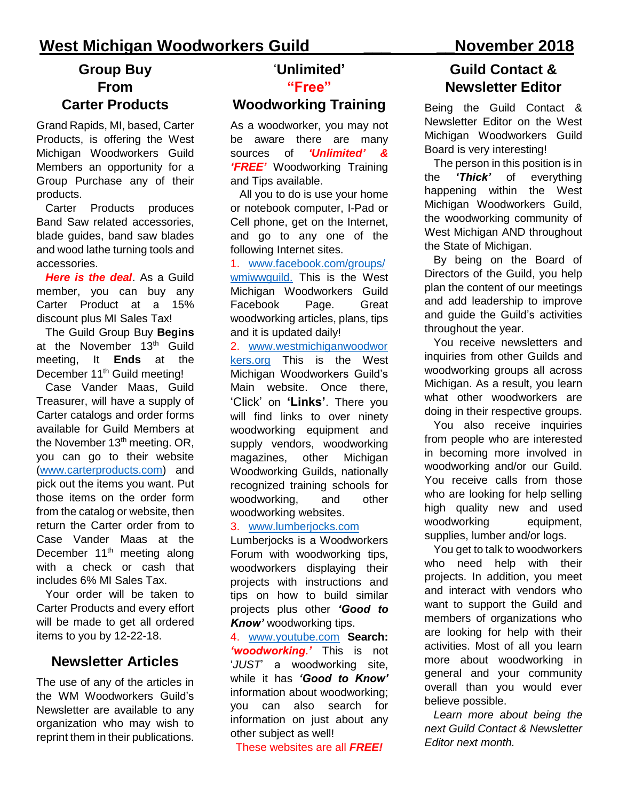# **West Michigan Woodworkers Guild \_\_\_ \_\_November 2018**

# **Group Buy From Carter Products**

Grand Rapids, MI, based, Carter Products, is offering the West Michigan Woodworkers Guild Members an opportunity for a Group Purchase any of their products.

Carter Products produces Band Saw related accessories, blade guides, band saw blades and wood lathe turning tools and accessories.

*Here is the deal*. As a Guild member, you can buy any Carter Product at a 15% discount plus MI Sales Tax!

The Guild Group Buy **Begins** at the November 13<sup>th</sup> Guild meeting, It **Ends** at the December 11<sup>th</sup> Guild meeting!

Case Vander Maas, Guild Treasurer, will have a supply of Carter catalogs and order forms available for Guild Members at the November 13<sup>th</sup> meeting. OR, you can go to their website [\(www.carterproducts.com\)](http://www.carterproducts.com/) and pick out the items you want. Put those items on the order form from the catalog or website, then return the Carter order from to Case Vander Maas at the December 11<sup>th</sup> meeting along with a check or cash that includes 6% MI Sales Tax.

Your order will be taken to Carter Products and every effort will be made to get all ordered items to you by 12-22-18.

### **Newsletter Articles**

The use of any of the articles in the WM Woodworkers Guild's Newsletter are available to any organization who may wish to reprint them in their publications.

#### '**Unlimited' "Free"**

#### **Woodworking Training**

As a woodworker, you may not be aware there are many sources of *'Unlimited' & 'FREE'* Woodworking Training and Tips available.

All you to do is use your home or notebook computer, I-Pad or Cell phone, get on the Internet, and go to any one of the following Internet sites.

1. [www.facebook.com/groups/](http://www.facebook.com/groups/wmiwwguild) [wmiwwguild.](http://www.facebook.com/groups/wmiwwguild) This is the West Michigan Woodworkers Guild Facebook Page. Great woodworking articles, plans, tips and it is updated daily!

2. [www.westmichiganwoodwor](http://www.westmichiganwoodworkers.org/) [kers.org](http://www.westmichiganwoodworkers.org/) This is the West Michigan Woodworkers Guild's Main website. Once there, 'Click' on **'Links'**. There you will find links to over ninety woodworking equipment and supply vendors, woodworking magazines, other Michigan Woodworking Guilds, nationally recognized training schools for woodworking, and other woodworking websites.

#### 3. [www.lumberjocks.com](http://www.lumberjocks.com/)

Lumberjocks is a Woodworkers Forum with woodworking tips, woodworkers displaying their projects with instructions and tips on how to build similar projects plus other *'Good to Know'* woodworking tips.

4. www.youtube.com **Search:** *'woodworking.'* This is not '*JUST*' a woodworking site, while it has *'Good to Know'* information about woodworking; you can also search for information on just about any other subject as well!

These websites are all *FREE!*

# **Guild Contact & Newsletter Editor**

Being the Guild Contact & Newsletter Editor on the West Michigan Woodworkers Guild Board is very interesting!

The person in this position is in the *'Thick'* of everything happening within the West Michigan Woodworkers Guild, the woodworking community of West Michigan AND throughout the State of Michigan.

By being on the Board of Directors of the Guild, you help plan the content of our meetings and add leadership to improve and guide the Guild's activities throughout the year.

You receive newsletters and inquiries from other Guilds and woodworking groups all across Michigan. As a result, you learn what other woodworkers are doing in their respective groups.

You also receive inquiries from people who are interested in becoming more involved in woodworking and/or our Guild. You receive calls from those who are looking for help selling high quality new and used woodworking equipment, supplies, lumber and/or logs.

You get to talk to woodworkers who need help with their projects. In addition, you meet and interact with vendors who want to support the Guild and members of organizations who are looking for help with their activities. Most of all you learn more about woodworking in general and your community overall than you would ever believe possible.

*Learn more about being the next Guild Contact & Newsletter Editor next month.*